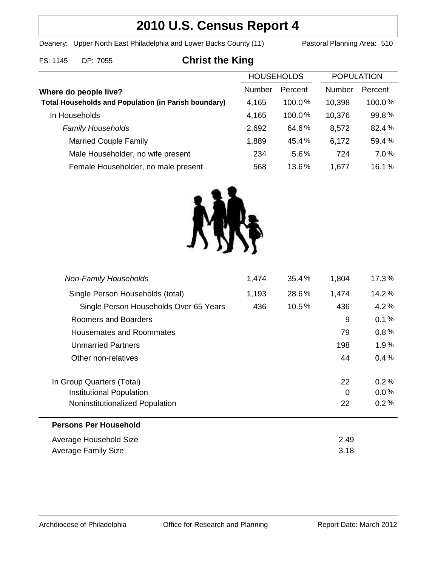# **2010 U.S. Census Report 4**

Deanery: Upper North East Philadelphia and Lower Bucks County (11) Pastoral Planning Area: 510

# FS: 1145 DP: 7055 **Christ the King**

|                                                             | <b>HOUSEHOLDS</b> |         | <b>POPULATION</b> |         |
|-------------------------------------------------------------|-------------------|---------|-------------------|---------|
| Where do people live?                                       | Number            | Percent | <b>Number</b>     | Percent |
| <b>Total Households and Population (in Parish boundary)</b> | 4,165             | 100.0%  | 10,398            | 100.0%  |
| In Households                                               | 4,165             | 100.0%  | 10,376            | 99.8%   |
| <b>Family Households</b>                                    | 2,692             | 64.6%   | 8,572             | 82.4%   |
| <b>Married Couple Family</b>                                | 1,889             | 45.4%   | 6,172             | 59.4%   |
| Male Householder, no wife present                           | 234               | 5.6%    | 724               | 7.0%    |
| Female Householder, no male present                         | 568               | 13.6%   | 1,677             | 16.1%   |



| 1,474<br>436<br>9 | 14.2%<br>4.2% |
|-------------------|---------------|
|                   |               |
|                   |               |
|                   | 0.1%          |
| 79                | 0.8%          |
| 198               | $1.9\%$       |
| 44                | 0.4%          |
|                   |               |
| 22                | 0.2%          |
| 0                 | $0.0\%$       |
| 22                | 0.2%          |
|                   |               |
| 2.49              |               |
| 3.18              |               |
|                   |               |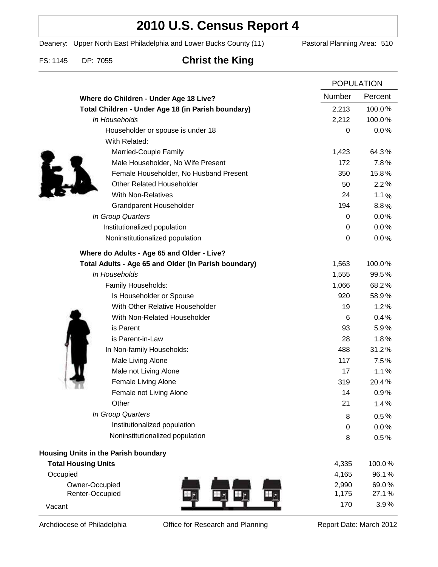# **2010 U.S. Census Report 4**

Deanery: Upper North East Philadelphia and Lower Bucks County (11) Pastoral Planning Area: 510

# FS: 1145 DP: 7055 **Christ the King**

|                                                      | <b>POPULATION</b> |         |
|------------------------------------------------------|-------------------|---------|
| Where do Children - Under Age 18 Live?               | Number            | Percent |
| Total Children - Under Age 18 (in Parish boundary)   | 2,213             | 100.0%  |
| In Households                                        | 2,212             | 100.0%  |
| Householder or spouse is under 18                    | 0                 | 0.0%    |
| With Related:                                        |                   |         |
| Married-Couple Family                                | 1,423             | 64.3%   |
| Male Householder, No Wife Present                    | 172               | 7.8%    |
| Female Householder, No Husband Present               | 350               | 15.8%   |
| <b>Other Related Householder</b>                     | 50                | 2.2%    |
| <b>With Non-Relatives</b>                            | 24                | 1.1%    |
| <b>Grandparent Householder</b>                       | 194               | 8.8%    |
| In Group Quarters                                    | $\boldsymbol{0}$  | 0.0%    |
| Institutionalized population                         | 0                 | 0.0%    |
| Noninstitutionalized population                      | $\mathbf 0$       | 0.0%    |
| Where do Adults - Age 65 and Older - Live?           |                   |         |
| Total Adults - Age 65 and Older (in Parish boundary) | 1,563             | 100.0%  |
| In Households                                        | 1,555             | 99.5%   |
| Family Households:                                   | 1,066             | 68.2%   |
| Is Householder or Spouse                             | 920               | 58.9%   |
| With Other Relative Householder                      | 19                | 1.2%    |
| With Non-Related Householder                         | 6                 | 0.4%    |
| is Parent                                            | 93                | 5.9%    |
| is Parent-in-Law                                     | 28                | 1.8%    |
| In Non-family Households:                            | 488               | 31.2%   |
| Male Living Alone                                    | 117               | 7.5%    |
| Male not Living Alone                                | 17                | 1.1%    |
| Female Living Alone                                  | 319               | 20.4%   |
| Female not Living Alone                              | 14                | 0.9%    |
| Other                                                | 21                | 1.4%    |
| In Group Quarters                                    | 8                 | 0.5%    |
| Institutionalized population                         | 0                 | 0.0%    |
| Noninstitutionalized population                      | 8                 | 0.5%    |
| <b>Housing Units in the Parish boundary</b>          |                   |         |
| <b>Total Housing Units</b>                           | 4,335             | 100.0%  |
| Occupied                                             | 4,165             | 96.1%   |
| Owner-Occupied                                       | 2,990             | 69.0%   |
| Renter-Occupied<br>Щ,                                | 1,175             | 27.1%   |
| Vacant                                               | 170               | 3.9%    |

Archdiocese of Philadelphia **Office for Research and Planning** Report Date: March 2012